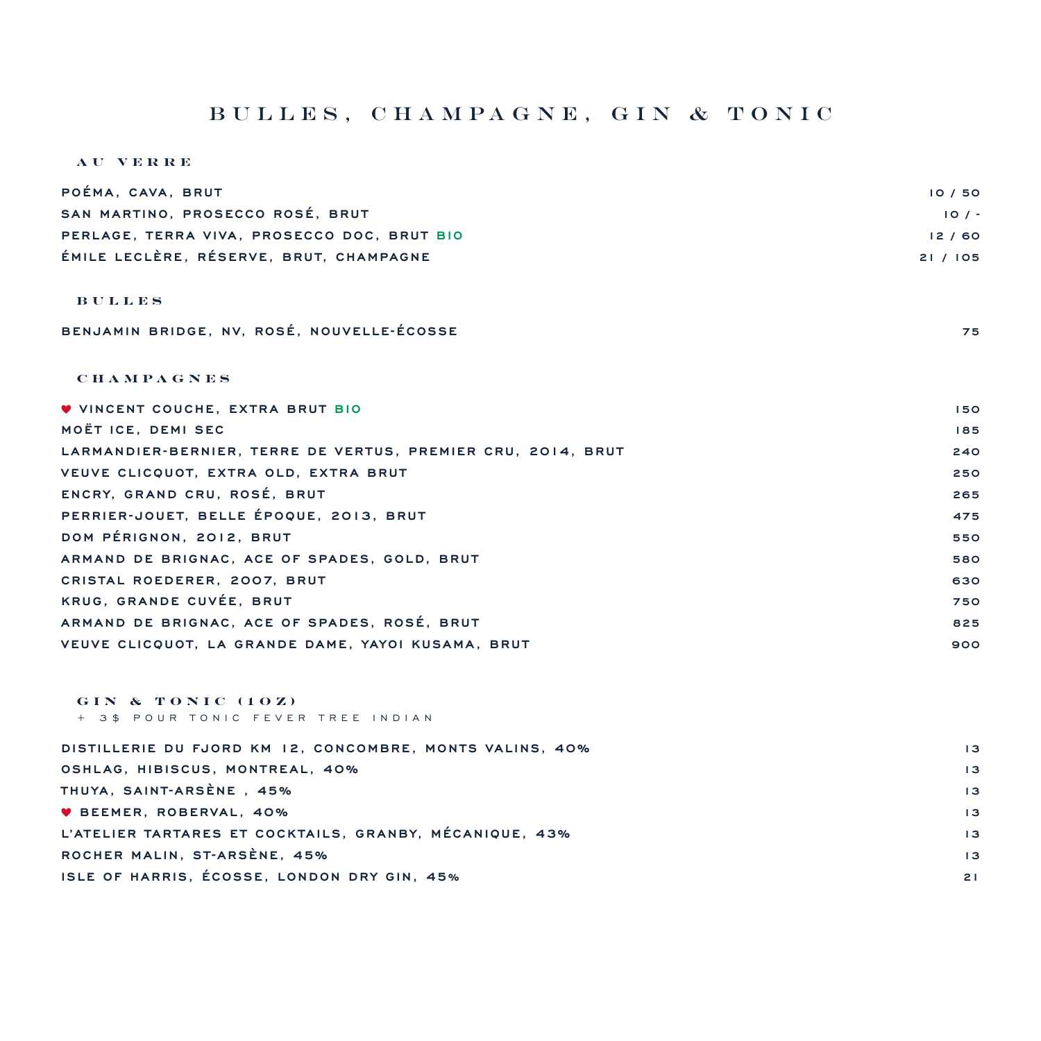### bulles, champagne, gin & tonic

#### **AU VERRE**

| POÉMA, CAVA, BRUT                                            | 10/50    |
|--------------------------------------------------------------|----------|
| SAN MARTINO, PROSECCO ROSÉ, BRUT                             | 10/7     |
| PERLAGE, TERRA VIVA, PROSECCO DOC, BRUT BIO                  | 12/60    |
| ÉMILE LECLÈRE, RÉSERVE, BRUT, CHAMPAGNE                      | 21 / 105 |
|                                                              |          |
| <b>BULLES</b>                                                |          |
| BENJAMIN BRIDGE, NV. ROSÉ, NOUVELLE-ÉCOSSE                   | 75       |
|                                                              |          |
| <b>CHAMPAGNES</b>                                            |          |
|                                                              |          |
| <b>V VINCENT COUCHE, EXTRA BRUT BIO</b>                      | 150      |
| MOËT ICE, DEMI SEC                                           | 185      |
| LARMANDIER-BERNIER, TERRE DE VERTUS, PREMIER CRU, 2014, BRUT | 240      |
| VEUVE CLICQUOT, EXTRA OLD, EXTRA BRUT                        | 250      |
| ENCRY, GRAND CRU, ROSÉ, BRUT                                 | 265      |
| PERRIER-JOUET, BELLE ÉPOQUE, 2013, BRUT                      | 475      |

**DOM PÉRIGNON, 2012, BRUT 550 ARMAND DE BRIGNAC, ACE OF SPADES, GOLD, BRUT 580 CRISTAL ROEDERER, 2007, BRUT 630 KRUG, GRANDE CUVÉE, BRUT 750 ARMAND DE BRIGNAC, ACE OF SPADES, ROSÉ, BRUT 825 VEUVE CLICQUOT, LA GRANDE DAME, YAYOI KUSAMA, BRUT 900**

**GIN & TONIC (1OZ)** + 3\$ POUR TONIC FEVER TREE INDIAN

| DISTILLERIE DU FJORD KM 12, CONCOMBRE, MONTS VALINS, 40% | $\overline{13}$ |
|----------------------------------------------------------|-----------------|
| OSHLAG, HIBISCUS, MONTREAL, 40%                          | $\overline{13}$ |
| THUYA, SAINT-ARSÈNE, 45%                                 | $\overline{13}$ |
| <b>V BEEMER, ROBERVAL, 40%</b>                           | $\overline{13}$ |
| L'ATELIER TARTARES ET COCKTAILS, GRANBY, MÉCANIQUE, 43%  | $\overline{13}$ |
| ROCHER MALIN, ST-ARSÈNE, 45%                             | $\overline{13}$ |
| ISLE OF HARRIS, ÉCOSSE, LONDON DRY GIN, 45%              | 21              |
|                                                          |                 |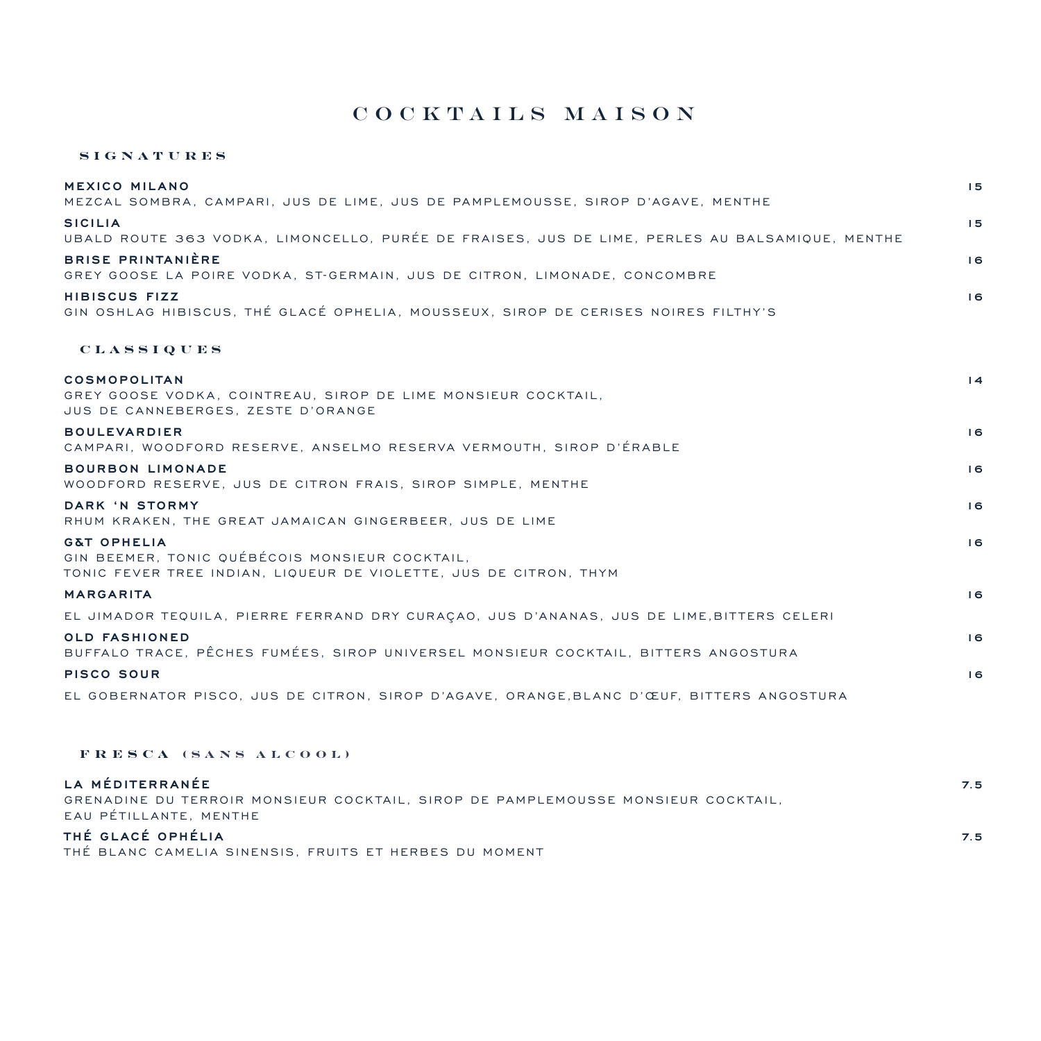## Cocktails Maison

### **SIGNATURES**

| <b>MEXICO MILANO</b><br>MEZCAL SOMBRA, CAMPARI, JUS DE LIME, JUS DE PAMPLEMOUSSE, SIROP D'AGAVE, MENTHE                                       | 15              |
|-----------------------------------------------------------------------------------------------------------------------------------------------|-----------------|
| <b>SICILIA</b><br>UBALD ROUTE 363 VODKA, LIMONCELLO, PURÉE DE FRAISES, JUS DE LIME, PERLES AU BALSAMIQUE, MENTHE                              | 15              |
| <b>BRISE PRINTANIÈRE</b><br>GREY GOOSE LA POIRE VODKA. ST-GERMAIN, JUS DE CITRON, LIMONADE, CONCOMBRE                                         | 16              |
| HIBISCUS FIZZ<br>GIN OSHLAG HIBISCUS. THÉ GLACÉ OPHELIA. MOUSSEUX. SIROP DE CERISES NOIRES FILTHY'S                                           | 6               |
| <b>CLASSIQUES</b>                                                                                                                             |                 |
| <b>COSMOPOLITAN</b><br>GREY GOOSE VODKA, COINTREAU, SIROP DE LIME MONSIEUR COCKTAIL,<br>JUS DE CANNEBERGES, ZESTE D'ORANGE                    | $\overline{14}$ |
| <b>BOULEVARDIER</b><br>CAMPARI, WOODFORD RESERVE, ANSELMO RESERVA VERMOUTH, SIROP D'ÉRABLE                                                    | 16              |
| <b>BOURBON LIMONADE</b><br>WOODFORD RESERVE, JUS DE CITRON FRAIS, SIROP SIMPLE, MENTHE                                                        | 6               |
| DARK 'N STORMY<br>RHUM KRAKEN, THE GREAT JAMAICAN GINGERBEER, JUS DE LIME                                                                     | 16              |
| <b>G&amp;T OPHELIA</b><br>GIN BEEMER. TONIC QUÉBÉCOIS MONSIEUR COCKTAIL.<br>TONIC FEVER TREE INDIAN, LIQUEUR DE VIOLETTE, JUS DE CITRON, THYM | 16              |
| <b>MARGARITA</b>                                                                                                                              | 16              |
| EL JIMADOR TEQUILA, PIERRE FERRAND DRY CURACAO, JUS D'ANANAS, JUS DE LIME, BITTERS CELERI                                                     |                 |
| <b>OLD FASHIONED</b><br>BUFFALO TRACE, PÊCHES FUMÉES, SIROP UNIVERSEL MONSIEUR COCKTAIL, BITTERS ANGOSTURA                                    | 6               |
| PISCO SOUR                                                                                                                                    | 6               |
| EL GOBERNATOR PISCO, JUS DE CITRON, SIROP D'AGAVE, ORANGE, BLANC D'ŒUF, BITTERS ANGOSTURA                                                     |                 |
| FRESCA (SANS ALCOOL)                                                                                                                          |                 |

| LA MÉDITERRANÉE                                                                  | 7.5 |
|----------------------------------------------------------------------------------|-----|
| GRENADINE DU TERROIR MONSIEUR COCKTAIL, SIROP DE PAMPLEMOUSSE MONSIEUR COCKTAIL. |     |
| EAU PÉTILLANTE, MENTHE                                                           |     |
| THÉ GLACÉ OPHÉLIA                                                                | 7.5 |
| THÉ BLANC CAMELIA SINENSIS. FRUITS ET HERBES DU MOMENT                           |     |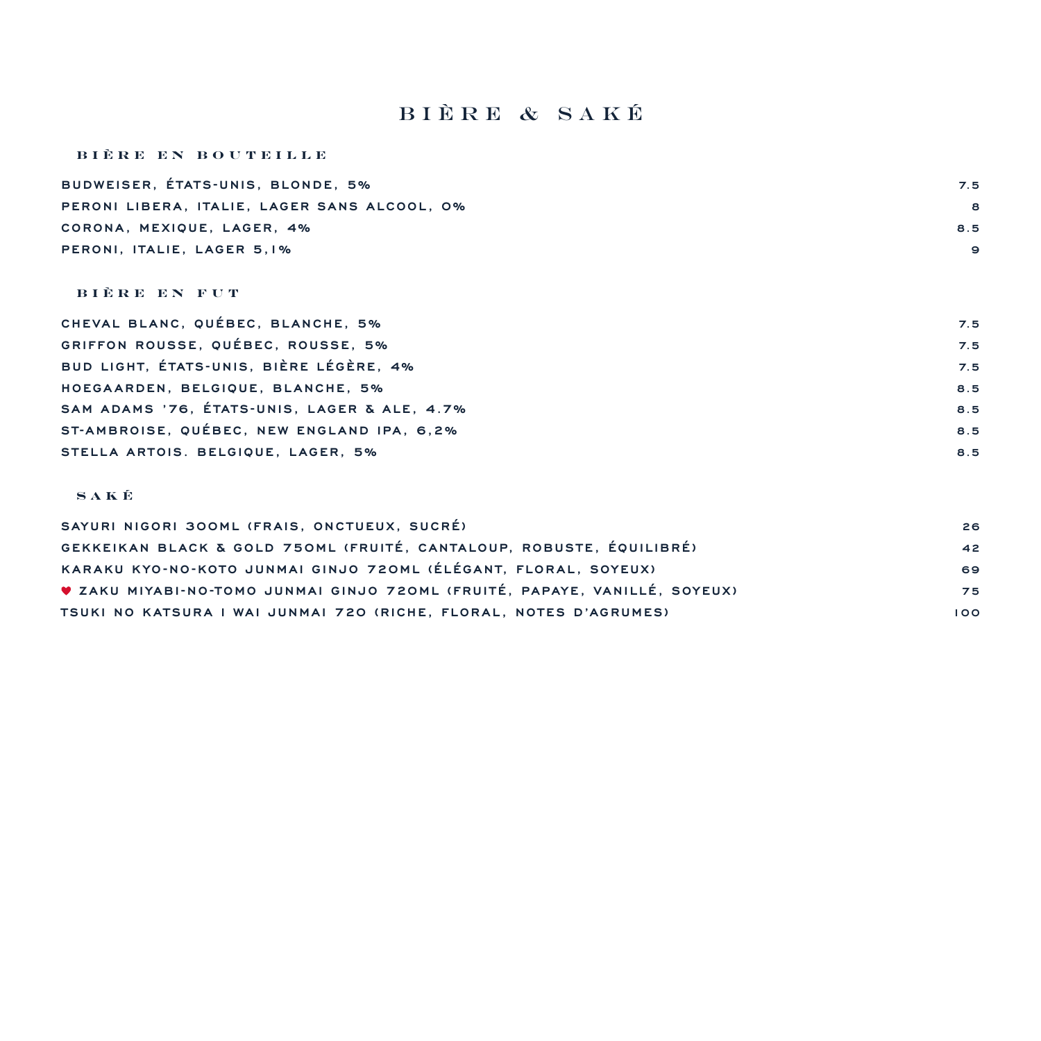# bière & saké

### **BIÈRE EN BOUTEILLE**

| BUDWEISER, ÉTATS-UNIS, BLONDE, 5%            | 7.5 |
|----------------------------------------------|-----|
| PERONI LIBERA. ITALIE. LAGER SANS ALCOOL. 0% | 8   |
| CORONA, MEXIQUE, LAGER, 4%                   | 8.5 |
| PERONI, ITALIE, LAGER 5.1%                   | 9   |
|                                              |     |

#### **B I È R E E N F U T**

| CHEVAL BLANC, QUÉBEC, BLANCHE, 5%            | 7.5 |
|----------------------------------------------|-----|
| GRIFFON ROUSSE, QUÉBEC, ROUSSE, 5%           | 7.5 |
| BUD LIGHT, ÉTATS-UNIS, BIÈRE LÉGÈRE, 4%      | 7.5 |
| HOEGAARDEN, BELGIQUE, BLANCHE, 5%            | 8.5 |
| SAM ADAMS '76, ÉTATS-UNIS, LAGER & ALE, 4.7% | 8.5 |
| ST-AMBROISE, QUÉBEC, NEW ENGLAND IPA, 6,2%   | 8.5 |
| STELLA ARTOIS. BELGIQUE, LAGER, 5%           | 8.5 |

### **SAKÉ**

| SAYURI NIGORI 300ML (FRAIS, ONCTUEUX, SUCRÉ)                               | 26  |
|----------------------------------------------------------------------------|-----|
| GEKKEIKAN BLACK & GOLD 750ML (FRUITÉ, CANTALOUP, ROBUSTE, ÉQUILIBRÉ)       | 42  |
| KARAKU KYO-NO-KOTO JUNMAI GINJO 720ML (ÉLÉGANT, FLORAL, SOYEUX)            | 69  |
| V ZAKU MIYABI-NO-TOMO JUNMAI GINJO 720ML (FRUITÉ, PAPAYE, VANILLÉ, SOYEUX) | 75  |
| TSUKI NO KATSURA I WAI JUNMAI 720 (RICHE, FLORAL, NOTES D'AGRUMES)         | 100 |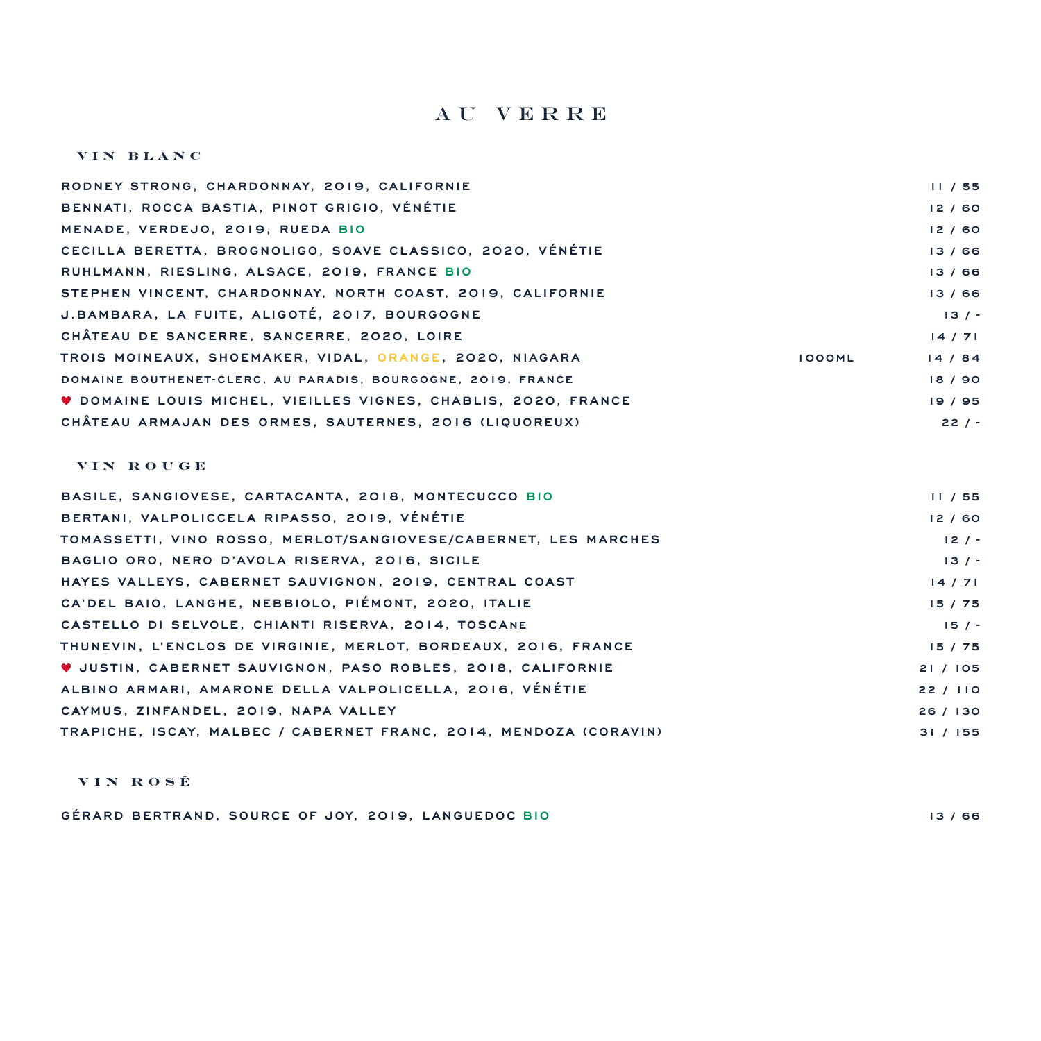## Au Verre

#### **VIN BLANC**

| RODNEY STRONG, CHARDONNAY, 2019, CALIFORNIE                           |               | 11/55   |
|-----------------------------------------------------------------------|---------------|---------|
| BENNATI, ROCCA BASTIA, PINOT GRIGIO, VÉNÉTIE                          |               | 12/60   |
| MENADE, VERDEJO, 2019, RUEDA BIO                                      |               | 12/60   |
| CECILLA BERETTA. BROGNOLIGO. SOAVE CLASSICO. 2020. VÉNÉTIE            |               | 13/66   |
| RUHLMANN, RIESLING, ALSACE, 2019, FRANCE BIO                          |               | 13/66   |
| STEPHEN VINCENT, CHARDONNAY, NORTH COAST, 2019, CALIFORNIE            |               | 13/66   |
| J.BAMBARA, LA FUITE, ALIGOTÉ, 2017, BOURGOGNE                         |               | 13/7    |
| CHÂTEAU DE SANCERRE, SANCERRE, 2020, LOIRE                            |               | 14/71   |
| TROIS MOINEAUX, SHOEMAKER, VIDAL, ORANGE, 2020, NIAGARA               | <b>IOOOML</b> | 14/84   |
| DOMAINE BOUTHENET-CLERC, AU PARADIS, BOURGOGNE, 2019, FRANCE          |               | 18 / 90 |
| <b>V DOMAINE LOUIS MICHEL, VIEILLES VIGNES, CHABLIS, 2020, FRANCE</b> |               | 19/95   |
| CHÂTEAU ARMAJAN DES ORMES. SAUTERNES. 2016 (LIQUOREUX)                |               | $22/ -$ |

#### **VIN ROUGE**

| BASILE, SANGIOVESE, CARTACANTA, 2018, MONTECUCCO BIO               | 11/55    |
|--------------------------------------------------------------------|----------|
| BERTANI, VALPOLICCELA RIPASSO, 2019, VÉNÉTIE                       | 12/60    |
| TOMASSETTI. VINO ROSSO. MERLOT/SANGIOVESE/CABERNET. LES MARCHES    | $12/ -$  |
| BAGLIO ORO, NERO D'AVOLA RISERVA, 2016, SICILE                     | 13/7     |
| HAYES VALLEYS, CABERNET SAUVIGNON, 2019, CENTRAL COAST             | 14/71    |
| CA'DEL BAIO, LANGHE, NEBBIOLO, PIÉMONT, 2020, ITALIE               | 15/75    |
| CASTELLO DI SELVOLE, CHIANTI RISERVA, 2014, TOSCANE                | 15/      |
| THUNEVIN, L'ENCLOS DE VIRGINIE, MERLOT, BORDEAUX, 2016, FRANCE     | 15/75    |
| <b>V JUSTIN, CABERNET SAUVIGNON, PASO ROBLES, 2018, CALIFORNIE</b> | 21/105   |
| ALBINO ARMARI. AMARONE DELLA VALPOLICELLA. 2016. VÉNÉTIE           | 22/110   |
| CAYMUS, ZINFANDEL, 2019, NAPA VALLEY                               | 26 / 130 |
| TRAPICHE, ISCAY, MALBEC / CABERNET FRANC, 2014, MENDOZA (CORAVIN)  | 31 / 155 |
|                                                                    |          |

### **VIN ROSÉ**

**GÉRARD BERTRAND, SOURCE OF JOY, 2019, LANGUEDOC BIO 13 / 66**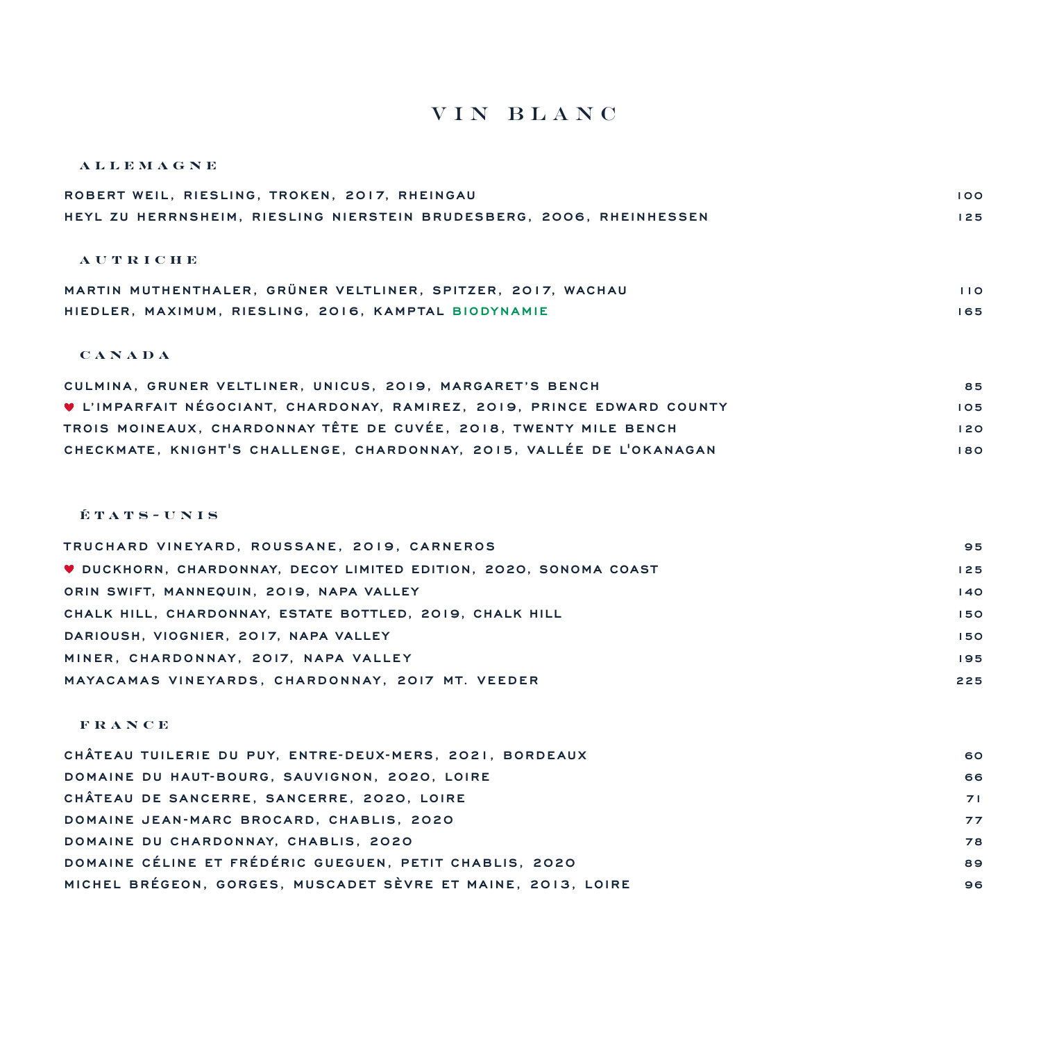## vin Blanc

#### **ALLEMAGNE**

| ROBERT WEIL, RIESLING, TROKEN, 2017, RHEINGAU                        | 100 |
|----------------------------------------------------------------------|-----|
| HEYL ZU HERRNSHEIM, RIESLING NIERSTEIN BRUDESBERG, 2006, RHEINHESSEN | 125 |
|                                                                      |     |
| <b>AUTRICHE</b>                                                      |     |
| MARTIN MUTHENTHALER, GRÜNER VELTLINER, SPITZER, 2017, WACHAU         | 110 |
| HIEDLER, MAXIMUM, RIESLING, 2016, KAMPTAL BIODYNAMIE                 | 165 |

### **CANADA**

| CULMINA, GRUNER VELTLINER, UNICUS, 2019, MARGARET'S BENCH               | 85  |
|-------------------------------------------------------------------------|-----|
| V L'IMPARFAIT NÉGOCIANT, CHARDONAY, RAMIREZ, 2019, PRINCE EDWARD COUNTY | 105 |
| TROIS MOINEAUX, CHARDONNAY TÊTE DE CUVÉE, 2018, TWENTY MILE BENCH       | 120 |
| CHECKMATE, KNIGHT'S CHALLENGE, CHARDONNAY, 2015, VALLÉE DE L'OKANAGAN   | 180 |

### **É T A T S - U N I S**

| TRUCHARD VINEYARD, ROUSSANE, 2019, CARNEROS                              | 95  |
|--------------------------------------------------------------------------|-----|
| <b>V DUCKHORN, CHARDONNAY, DECOY LIMITED EDITION, 2020, SONOMA COAST</b> | 125 |
| ORIN SWIFT, MANNEQUIN, 2019, NAPA VALLEY                                 | 140 |
| CHALK HILL, CHARDONNAY, ESTATE BOTTLED, 2019, CHALK HILL                 | 150 |
| DARIOUSH, VIOGNIER, 2017, NAPA VALLEY                                    | 150 |
| MINER, CHARDONNAY, 2017, NAPA VALLEY                                     | 195 |
| MAYACAMAS VINEYARDS, CHARDONNAY, 2017 MT. VEEDER                         | 225 |

#### **F R A N C E**

| CHÂTEAU TUILERIE DU PUY. ENTRE-DEUX-MERS. 2021. BORDEAUX     | 60 |
|--------------------------------------------------------------|----|
| DOMAINE DU HAUT-BOURG, SAUVIGNON, 2020, LOIRE                | 66 |
| CHÂTEAU DE SANCERRE, SANCERRE, 2020, LOIRE                   | 71 |
| DOMAINE JEAN-MARC BROCARD, CHABLIS, 2020                     | 77 |
| DOMAINE DU CHARDONNAY, CHABLIS, 2020                         | 78 |
| DOMAINE CÉLINE ET FRÉDÉRIC GUEGUEN. PETIT CHABLIS. 2020      | 89 |
| MICHEL BRÉGEON, GORGES, MUSCADET SÈVRE ET MAINE, 2013, LOIRE | 96 |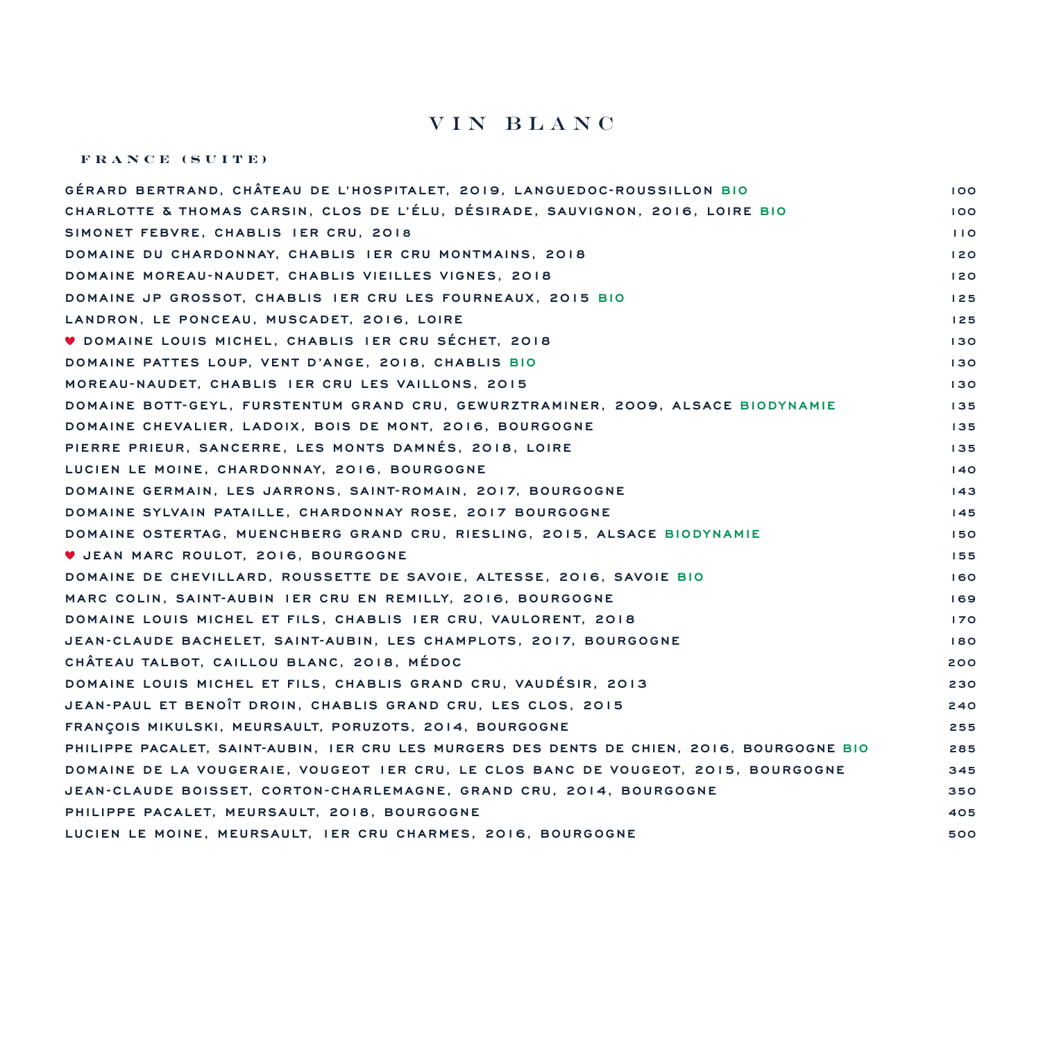## vin Blanc

#### **FRANCE (SUITE)**

| GÉRARD BERTRAND, CHÂTEAU DE L'HOSPITALET, 2019, LANGUEDOC-ROUSSILLON BIO                   | 100 |
|--------------------------------------------------------------------------------------------|-----|
| CHARLOTTE & THOMAS CARSIN, CLOS DE L'ÉLU, DÉSIRADE, SAUVIGNON, 2016, LOIRE BIO             | 100 |
| SIMONET FEBVRE, CHABLIS IER CRU, 2018                                                      | 110 |
| DOMAINE DU CHARDONNAY, CHABLIS IER CRU MONTMAINS, 2018                                     | 120 |
| DOMAINE MOREAU-NAUDET, CHABLIS VIEILLES VIGNES, 2018                                       | 120 |
| DOMAINE JP GROSSOT, CHABLIS IER CRU LES FOURNEAUX, 2015 BIO                                | 125 |
| LANDRON, LE PONCEAU, MUSCADET, 2016, LOIRE                                                 | 125 |
| <b>V DOMAINE LOUIS MICHEL, CHABLIS IER CRU SÉCHET, 2018</b>                                | 130 |
| DOMAINE PATTES LOUP, VENT D'ANGE, 2018, CHABLIS BIO                                        | 130 |
| MOREAU-NAUDET, CHABLIS IER CRU LES VAILLONS, 2015                                          | 130 |
| DOMAINE BOTT-GEYL, FURSTENTUM GRAND CRU, GEWURZTRAMINER, 2009, ALSACE BIODYNAMIE           | 135 |
| DOMAINE CHEVALIER, LADOIX, BOIS DE MONT, 2016, BOURGOGNE                                   | 135 |
| PIERRE PRIEUR, SANCERRE, LES MONTS DAMNÉS, 2018, LOIRE                                     | 135 |
| LUCIEN LE MOINE, CHARDONNAY, 2016, BOURGOGNE                                               | 140 |
| DOMAINE GERMAIN, LES JARRONS, SAINT-ROMAIN, 2017, BOURGOGNE                                | 143 |
| DOMAINE SYLVAIN PATAILLE, CHARDONNAY ROSE, 2017 BOURGOGNE                                  | 145 |
| DOMAINE OSTERTAG, MUENCHBERG GRAND CRU, RIESLING, 2015, ALSACE BIODYNAMIE                  | 150 |
| U JEAN MARC ROULOT, 2016, BOURGOGNE                                                        | 155 |
| DOMAINE DE CHEVILLARD, ROUSSETTE DE SAVOIE, ALTESSE, 2016, SAVOIE BIO                      | 160 |
| MARC COLIN, SAINT-AUBIN IER CRU EN REMILLY, 2016, BOURGOGNE                                | 169 |
| DOMAINE LOUIS MICHEL ET FILS, CHABLIS IER CRU, VAULORENT, 2018                             | 170 |
| JEAN-CLAUDE BACHELET, SAINT-AUBIN, LES CHAMPLOTS, 2017, BOURGOGNE                          | 180 |
| CHÂTEAU TALBOT, CAILLOU BLANC, 2018, MÉDOC                                                 | 200 |
| DOMAINE LOUIS MICHEL ET FILS, CHABLIS GRAND CRU, VAUDÉSIR, 2013                            | 230 |
| JEAN-PAUL ET BENOIT DROIN, CHABLIS GRAND CRU, LES CLOS, 2015                               | 240 |
| FRANÇOIS MIKULSKI, MEURSAULT, PORUZOTS, 2014, BOURGOGNE                                    | 255 |
| PHILIPPE PACALET, SAINT-AUBIN, IER CRU LES MURGERS DES DENTS DE CHIEN, 2016, BOURGOGNE BIO | 285 |
| DOMAINE DE LA VOUGERAIE, VOUGEOT IER CRU, LE CLOS BANC DE VOUGEOT, 2015, BOURGOGNE         | 345 |
| JEAN-CLAUDE BOISSET, CORTON-CHARLEMAGNE, GRAND CRU, 2014, BOURGOGNE                        | 350 |
| PHILIPPE PACALET, MEURSAULT, 2018, BOURGOGNE                                               | 405 |
| LUCIEN LE MOINE, MEURSAULT, IER CRU CHARMES, 2016, BOURGOGNE                               | 500 |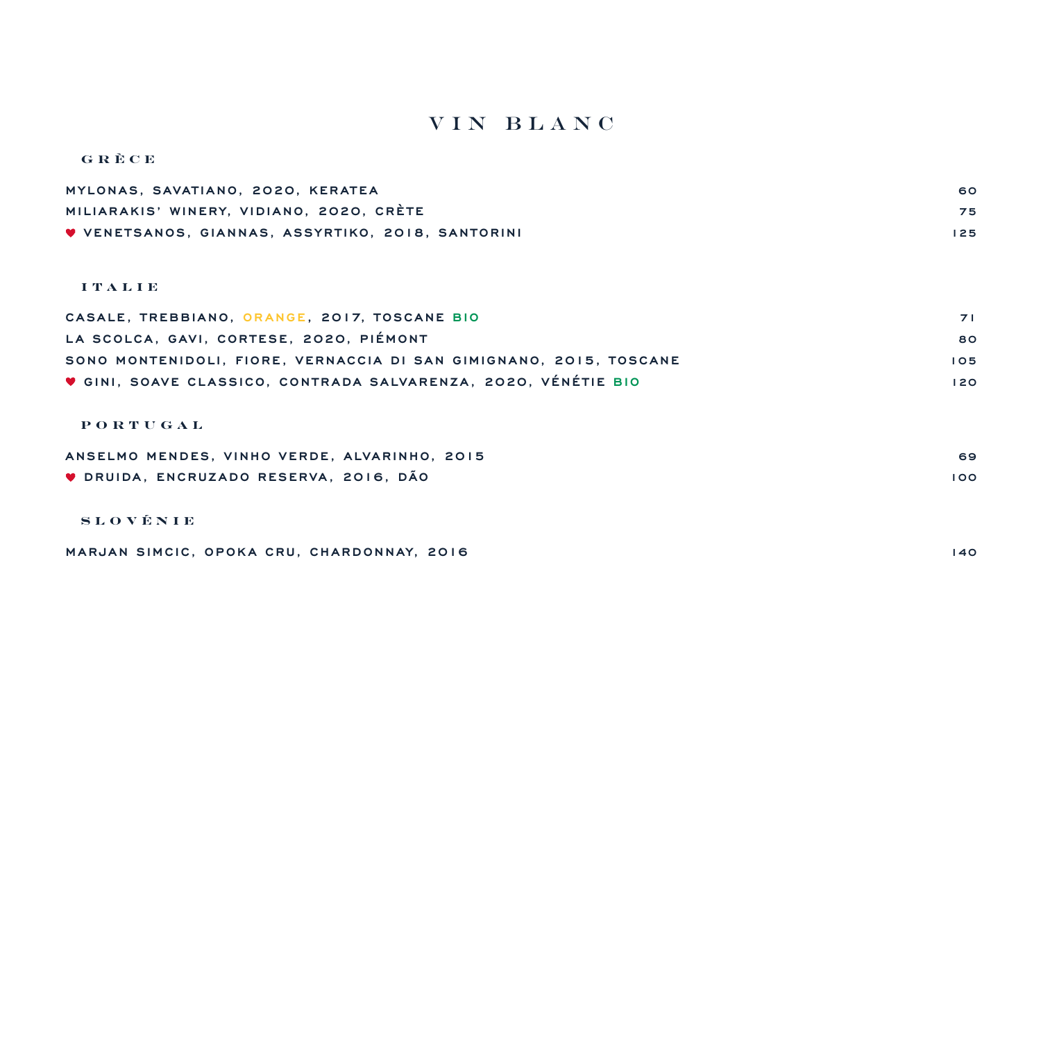## vin Blanc

| GRÈCE                                             |     |
|---------------------------------------------------|-----|
| MYLONAS, SAVATIANO, 2020, KERATEA                 | 60  |
| MILIARAKIS' WINERY, VIDIANO, 2020, CRÈTE          | 75  |
| V VENETSANOS, GIANNAS, ASSYRTIKO, 2018, SANTORINI | 125 |
|                                                   |     |

### **I T A L I E**

| CASALE, TREBBIANO, ORANGE, 2017, TOSCANE BIO                       | <b>71</b> |
|--------------------------------------------------------------------|-----------|
| LA SCOLCA, GAVI, CORTESE, 2020, PIÉMONT                            | 80        |
| SONO MONTENIDOLI, FIORE, VERNACCIA DI SAN GIMIGNANO, 2015, TOSCANE | 105       |
| V GINI, SOAVE CLASSICO, CONTRADA SALVARENZA, 2020, VÉNÉTIE BIO     | 120       |

#### **PORTUGAL**

| ANSELMO MENDES. VINHO VERDE. ALVARINHO. 2015 | 69  |
|----------------------------------------------|-----|
| ♥ DRUIDA, ENCRUZADO RESERVA, 2016, DÃO       | 100 |
|                                              |     |

### **SLOVÉNIE**

| MARJAN SIMCIC, OPOKA CRU, CHARDONNAY, 2016 |  |  |
|--------------------------------------------|--|--|
|--------------------------------------------|--|--|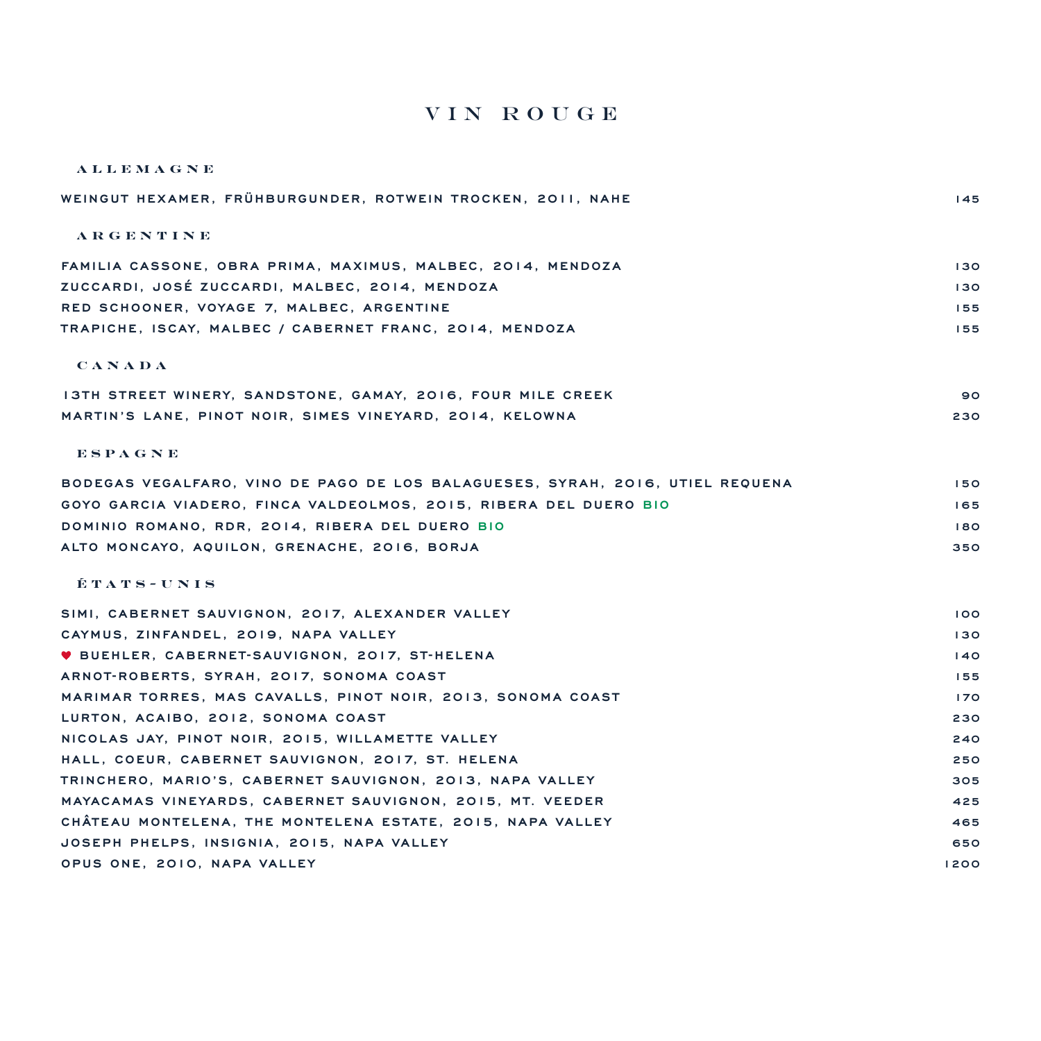## vin Rouge

| <b>ALLEMAGNE</b>                                                              |      |
|-------------------------------------------------------------------------------|------|
| WEINGUT HEXAMER, FRÜHBURGUNDER, ROTWEIN TROCKEN, 2011, NAHE                   | 145  |
| ARGENTINE                                                                     |      |
| FAMILIA CASSONE, OBRA PRIMA, MAXIMUS, MALBEC, 2014, MENDOZA                   | 130  |
| ZUCCARDI, JOSÉ ZUCCARDI, MALBEC, 2014, MENDOZA                                | 130  |
| RED SCHOONER, VOYAGE 7, MALBEC, ARGENTINE                                     | 155  |
| TRAPICHE, ISCAY, MALBEC / CABERNET FRANC, 2014, MENDOZA                       | 155  |
| <b>CANADA</b>                                                                 |      |
| 13TH STREET WINERY, SANDSTONE, GAMAY, 2016, FOUR MILE CREEK                   | 90   |
| MARTIN'S LANE, PINOT NOIR, SIMES VINEYARD, 2014, KELOWNA                      | 230  |
| ESPAGNE                                                                       |      |
| BODEGAS VEGALFARO, VINO DE PAGO DE LOS BALAGUESES, SYRAH, 2016, UTIEL REQUENA | 150  |
| GOYO GARCIA VIADERO, FINCA VALDEOLMOS, 2015, RIBERA DEL DUERO BIO             | 165  |
| DOMINIO ROMANO, RDR, 2014, RIBERA DEL DUERO BIO                               | 180  |
| ALTO MONCAYO, AQUILON, GRENACHE, 2016, BORJA                                  | 350  |
| ÉTATS-UNIS                                                                    |      |
| SIMI, CABERNET SAUVIGNON, 2017, ALEXANDER VALLEY                              | 100  |
| CAYMUS, ZINFANDEL, 2019, NAPA VALLEY                                          | 130  |
| ♥ BUEHLER, CABERNET-SAUVIGNON, 2017, ST-HELENA                                | 140  |
| ARNOT-ROBERTS, SYRAH, 2017, SONOMA COAST                                      | 155  |
| MARIMAR TORRES, MAS CAVALLS, PINOT NOIR, 2013, SONOMA COAST                   | 170  |
| LURTON, ACAIBO, 2012, SONOMA COAST                                            | 230  |
| NICOLAS JAY, PINOT NOIR, 2015, WILLAMETTE VALLEY                              | 240  |
| HALL, COEUR, CABERNET SAUVIGNON, 2017, ST. HELENA                             | 250  |
| TRINCHERO, MARIO'S, CABERNET SAUVIGNON, 2013, NAPA VALLEY                     | 305  |
| MAYACAMAS VINEYARDS, CABERNET SAUVIGNON, 2015, MT. VEEDER                     | 425  |
| CHATEAU MONTELENA, THE MONTELENA ESTATE, 2015, NAPA VALLEY                    | 465  |
| JOSEPH PHELPS, INSIGNIA, 2015, NAPA VALLEY                                    | 650  |
| OPUS ONE, 2010, NAPA VALLEY                                                   | 1200 |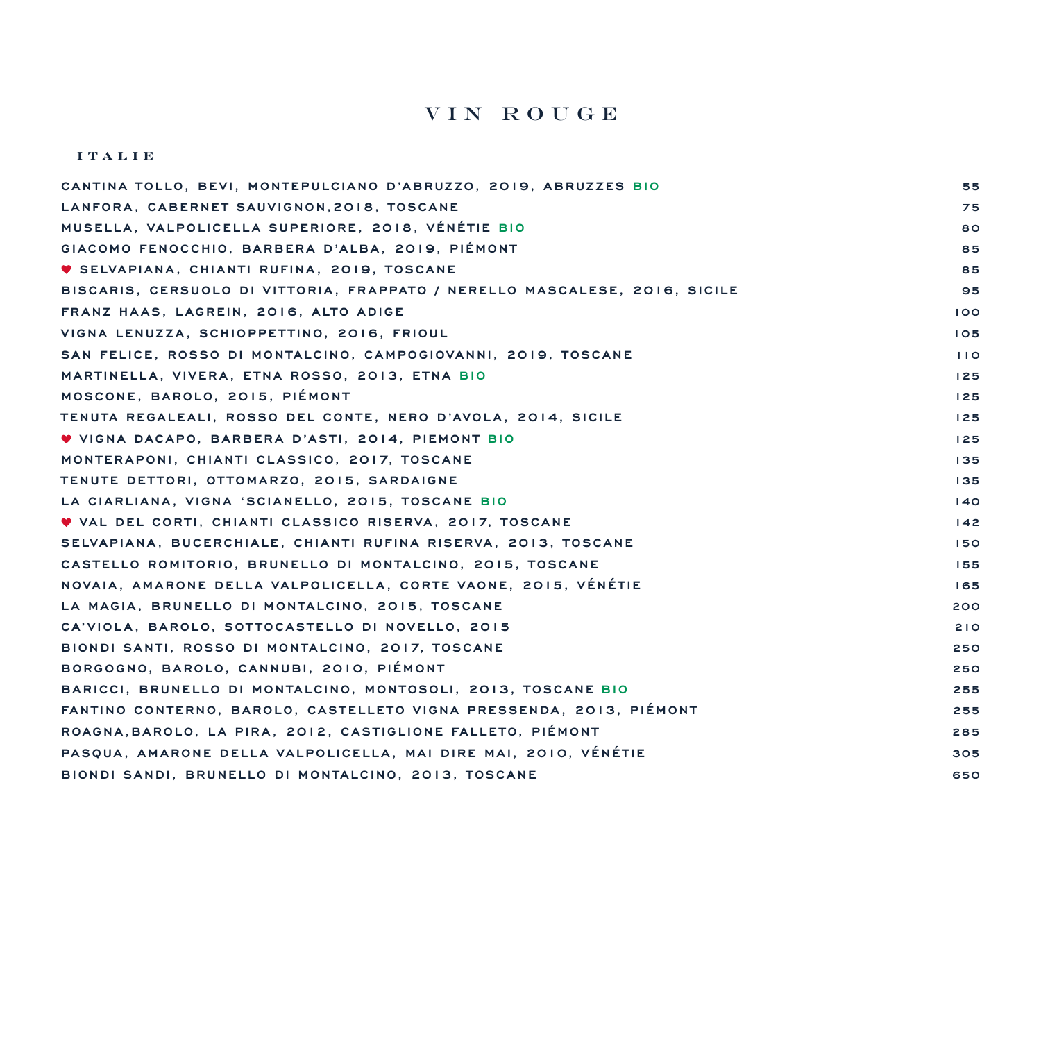## vin Rouge

#### **ITALIE**

| CANTINA TOLLO. BEVI. MONTEPULCIANO D'ABRUZZO. 2019. ABRUZZES BIO           | 55  |
|----------------------------------------------------------------------------|-----|
| LANFORA, CABERNET SAUVIGNON, 2018, TOSCANE                                 | 75  |
| MUSELLA, VALPOLICELLA SUPERIORE, 2018, VÉNÉTIE BIO                         | 80  |
| GIACOMO FENOCCHIO. BARBERA D'ALBA. 2019. PIÉMONT                           | 85  |
| ♥ SELVAPIANA, CHIANTI RUFINA, 2019, TOSCANE                                | 85  |
| BISCARIS, CERSUOLO DI VITTORIA, FRAPPATO / NERELLO MASCALESE, 2016, SICILE | 95  |
| FRANZ HAAS, LAGREIN, 2016, ALTO ADIGE                                      | 100 |
| VIGNA LENUZZA, SCHIOPPETTINO, 2016, FRIOUL                                 | 105 |
| SAN FELICE, ROSSO DI MONTALCINO, CAMPOGIOVANNI, 2019, TOSCANE              | 110 |
| MARTINELLA, VIVERA, ETNA ROSSO, 2013, ETNA BIO                             | 125 |
| MOSCONE, BAROLO, 2015, PIÉMONT                                             | 125 |
| TENUTA REGALEALI, ROSSO DEL CONTE, NERO D'AVOLA, 2014, SICILE              | 125 |
| V VIGNA DACAPO, BARBERA D'ASTI, 2014, PIEMONT BIO                          | 125 |
| MONTERAPONI, CHIANTI CLASSICO, 2017, TOSCANE                               | 135 |
| TENUTE DETTORI, OTTOMARZO, 2015, SARDAIGNE                                 | 135 |
| LA CIARLIANA, VIGNA 'SCIANELLO, 2015, TOSCANE BIO                          | 140 |
| V VAL DEL CORTI, CHIANTI CLASSICO RISERVA, 2017, TOSCANE                   | 142 |
| SELVAPIANA, BUCERCHIALE, CHIANTI RUFINA RISERVA, 2013, TOSCANE             | 150 |
| CASTELLO ROMITORIO, BRUNELLO DI MONTALCINO, 2015, TOSCANE                  | 155 |
| NOVAIA, AMARONE DELLA VALPOLICELLA, CORTE VAONE, 2015, VÉNÉTIE             | 165 |
| LA MAGIA, BRUNELLO DI MONTALCINO, 2015, TOSCANE                            | 200 |
| CA'VIOLA, BAROLO, SOTTOCASTELLO DI NOVELLO, 2015                           | 210 |
| BIONDI SANTI, ROSSO DI MONTALCINO, 2017, TOSCANE                           | 250 |
| BORGOGNO, BAROLO, CANNUBI, 2010, PIÉMONT                                   | 250 |
| BARICCI, BRUNELLO DI MONTALCINO, MONTOSOLI, 2013, TOSCANE BIO              | 255 |
| FANTINO CONTERNO, BAROLO, CASTELLETO VIGNA PRESSENDA, 2013, PIÉMONT        | 255 |
| ROAGNA, BAROLO, LA PIRA, 2012, CASTIGLIONE FALLETO, PIÉMONT                | 285 |
| PASOUA. AMARONE DELLA VALPOLICELLA. MAI DIRE MAI. 2010. VÉNÉTIE            | 305 |
| BIONDI SANDI, BRUNELLO DI MONTALCINO, 2013, TOSCANE                        | 650 |
|                                                                            |     |